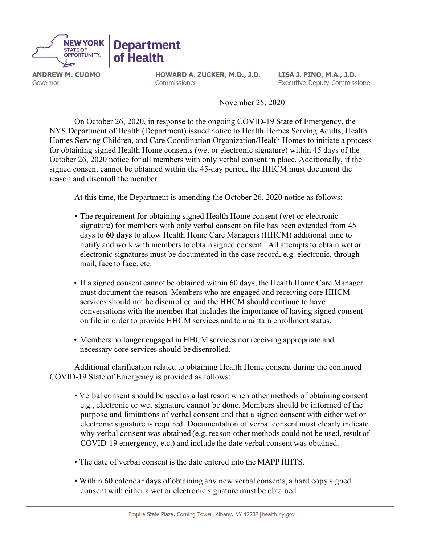

**ANDREW M. CUOMO** Governor

HOWARD A. ZUCKER, M.D., J.D. Commissioner

LISA J. PINO, M.A., J.D. **Executive Deputy Commissioner** 

November 25, 2020

On October 26, 2020, in response to the ongoing COVID-19 State of Emergency, the NYS Department of Health (Department) issued notice to Health Homes Serving Adults, Health Homes Serving Children, and Care Coordination Organization/Health Homes to initiate a process for obtaining signed Health Home consents (wet or electronic signature) within 45 days of the October 26, 2020 notice for all members with only verbal consent in place. Additionally, if the signed consent cannot be obtained within the 45-day period, the HHCM must document the reason and disenroll the member.

At this time, the Department is amending the October 26, 2020 notice as follows:

- The requirement for obtaining signed Health Home consent (wet or electronic signature) for members with only verbal consent on file has been extended from 45 days to **60 days** to allow Health Home Care Managers (HHCM) additional time to notify and work with members to obtain signed consent. All attempts to obtain wet or electronic signatures must be documented in the case record, e.g. electronic, through mail, face to face, etc.
- If a signed consent cannot be obtained within 60 days, the Health Home Care Manager must document the reason. Members who are engaged and receiving core HHCM services should not be disenrolled and the HHCM should continue to have conversations with the member that includes the importance of having signed consent on file in order to provide HHCM services and to maintain enrollment status.
- Members no longer engaged in HHCM services nor receiving appropriate and necessary core services should be disenrolled.

Additional clarification related to obtaining Health Home consent during the continued COVID-19 State of Emergency is provided as follows:

- Verbal consent should be used as a last resort when other methods of obtaining consent e.g., electronic or wet signature cannot be done. Members should be informed of the purpose and limitations of verbal consent and that a signed consent with either wet or electronic signature is required. Documentation of verbal consent must clearly indicate why verbal consent was obtained (e.g. reason other methods could not be used, result of COVID-19 emergency, etc.) and include the date verbal consent was obtained.
- The date of verbal consent is the date entered into the MAPP HHTS.
- Within 60 calendar days of obtaining any new verbal consents, a hard copy signed consent with either a wet or electronic signature must be obtained.